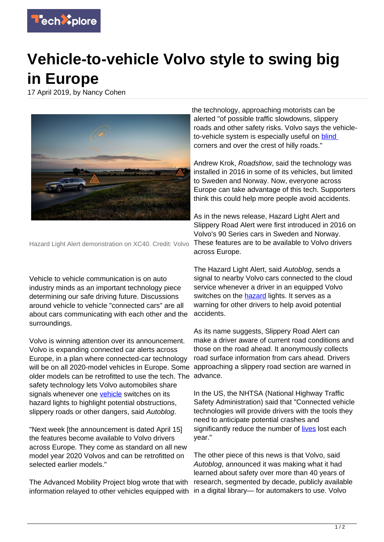

## **Vehicle-to-vehicle Volvo style to swing big in Europe**

17 April 2019, by Nancy Cohen



Hazard Light Alert demonstration on XC40. Credit: Volvo

Vehicle to vehicle communication is on auto industry minds as an important technology piece determining our safe driving future. Discussions around vehicle to vehicle "connected cars" are all about cars communicating with each other and the surroundings.

Volvo is winning attention over its announcement. Volvo is expanding connected car alerts across Europe, in a plan where connected-car technology will be on all 2020-model vehicles in Europe. Some older models can be retrofitted to use the tech. The safety technology lets Volvo automobiles share signals whenever one [vehicle](https://techxplore.com/tags/vehicle/) switches on its hazard lights to highlight potential obstructions, slippery roads or other dangers, said Autoblog.

"Next week [the announcement is dated April 15] the features become available to Volvo drivers across Europe. They come as standard on all new model year 2020 Volvos and can be retrofitted on selected earlier models."

The Advanced Mobility Project blog wrote that with information relayed to other vehicles equipped with

the technology, approaching motorists can be alerted "of possible traffic slowdowns, slippery roads and other safety risks. Volvo says the vehicleto-vehicle system is especially useful on **blind** corners and over the crest of hilly roads."

Andrew Krok, Roadshow, said the technology was installed in 2016 in some of its vehicles, but limited to Sweden and Norway. Now, everyone across Europe can take advantage of this tech. Supporters think this could help more people avoid accidents.

As in the news release, Hazard Light Alert and Slippery Road Alert were first introduced in 2016 on Volvo's 90 Series cars in Sweden and Norway. These features are to be available to Volvo drivers across Europe.

The Hazard Light Alert, said Autoblog, sends a signal to nearby Volvo cars connected to the cloud service whenever a driver in an equipped Volvo switches on the [hazard](https://www.autoblog.com/2019/04/15/volvo-v2v-safety-alert-europe/) lights. It serves as a warning for other drivers to help avoid potential accidents.

As its name suggests, Slippery Road Alert can make a driver aware of current road conditions and those on the road ahead. It anonymously collects road surface information from cars ahead. Drivers approaching a slippery road section are warned in advance.

In the US, the NHTSA (National Highway Traffic Safety Administration) said that "Connected vehicle technologies will provide drivers with the tools they need to anticipate potential crashes and significantly reduce the number of [lives](https://www.nhtsa.gov/technology-innovation/vehicle-vehicle-communication) lost each year."

The other piece of this news is that Volvo, said Autoblog, announced it was making what it had learned about safety over more than 40 years of research, segmented by decade, publicly available in a digital library— for automakers to use. Volvo